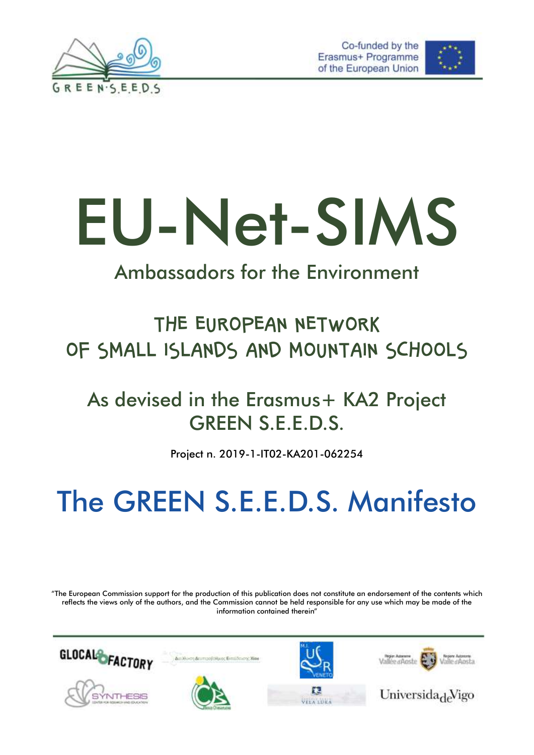





# EU-Net-SIMS

### Ambassadors for the Environment

### THE EUROPEAN NETWORK OF SMALL ISLANDS AND MOUNTAIN SCHOOLS

### As devised in the Erasmus+ KA2 Project GREEN S.E.E.D.S.

Project n. 2019-1-IT02-KA201-062254

# The GREEN S.E.E.D.S. Manifesto

"The European Commission support for the production of this publication does not constitute an endorsement of the contents which reflects the views only of the authors, and the Commission cannot be held responsible for any use which may be made of the information contained therein"





Universida<sub>de</sub> Vigo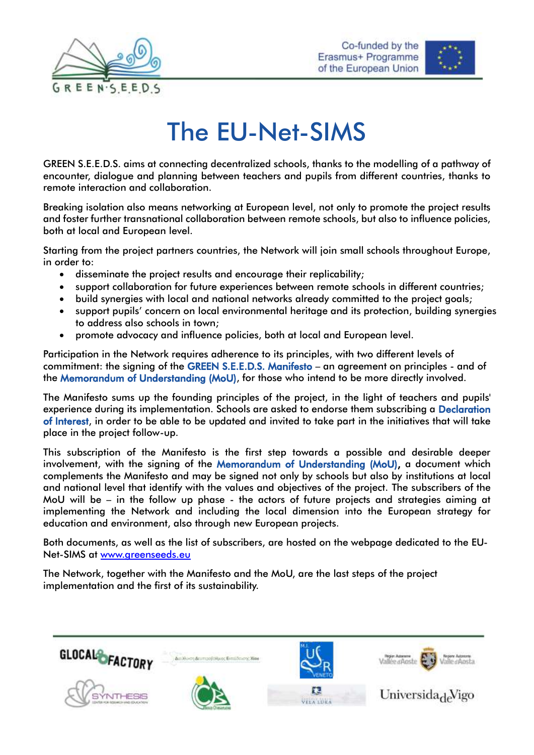



# The EU-Net-SIMS

GREEN S.E.E.D.S. aims at connecting decentralized schools, thanks to the modelling of a pathway of encounter, dialogue and planning between teachers and pupils from different countries, thanks to remote interaction and collaboration.

Breaking isolation also means networking at European level, not only to promote the project results and foster further transnational collaboration between remote schools, but also to influence policies, both at local and European level.

Starting from the project partners countries, the Network will join small schools throughout Europe, in order to:

- disseminate the project results and encourage their replicability;
- support collaboration for future experiences between remote schools in different countries;
- build synergies with local and national networks already committed to the project goals;
- support pupils' concern on local environmental heritage and its protection, building synergies to address also schools in town;
- promote advocacy and influence policies, both at local and European level.

Participation in the Network requires adherence to its principles, with two different levels of commitment: the signing of the GREEN S.E.E.D.S. Manifesto – an agreement on principles - and of the Memorandum of Understanding (MoU), for those who intend to be more directly involved.

The Manifesto sums up the founding principles of the project, in the light of teachers and pupils' experience during its implementation. Schools are asked to endorse them subscribing a Declaration of Interest, in order to be able to be updated and invited to take part in the initiatives that will take place in the project follow-up.

This subscription of the Manifesto is the first step towards a possible and desirable deeper involvement, with the signing of the Memorandum of Understanding (MoU), a document which complements the Manifesto and may be signed not only by schools but also by institutions at local and national level that identify with the values and objectives of the project. The subscribers of the MoU will be – in the follow up phase - the actors of future projects and strategies aiming at implementing the Network and including the local dimension into the European strategy for education and environment, also through new European projects.

Both documents, as well as the list of subscribers, are hosted on the webpage dedicated to the EU-Net-SIMS at [www.greenseeds.eu](http://www.greenseeds.eu/)

The Network, together with the Manifesto and the MoU, are the last steps of the project implementation and the first of its sustainability.

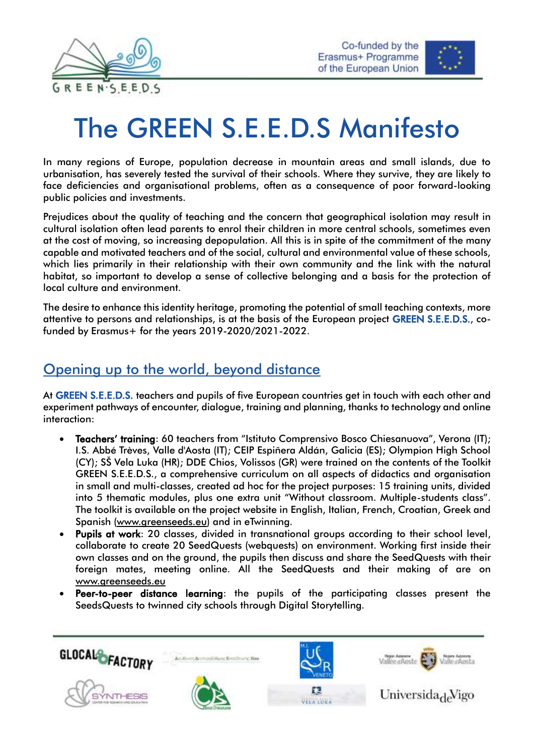



# The GREEN S.E.E.D.S Manifesto

In many regions of Europe, population decrease in mountain areas and small islands, due to urbanisation, has severely tested the survival of their schools. Where they survive, they are likely to face deficiencies and organisational problems, often as a consequence of poor forward-looking public policies and investments.

Prejudices about the quality of teaching and the concern that geographical isolation may result in cultural isolation often lead parents to enrol their children in more central schools, sometimes even at the cost of moving, so increasing depopulation. All this is in spite of the commitment of the many capable and motivated teachers and of the social, cultural and environmental value of these schools, which lies primarily in their relationship with their own community and the link with the natural habitat, so important to develop a sense of collective belonging and a basis for the protection of local culture and environment.

The desire to enhance this identity heritage, promoting the potential of small teaching contexts, more attentive to persons and relationships, is at the basis of the European project GREEN S.E.E.D.S., cofunded by Erasmus+ for the years 2019-2020/2021-2022.

#### Opening up to the world, beyond distance

At GREEN S.E.E.D.S. teachers and pupils of five European countries get in touch with each other and experiment pathways of encounter, dialogue, training and planning, thanks to technology and online interaction:

- Teachers' training: 60 teachers from "Istituto Comprensivo Bosco Chiesanuova", Verona (IT); I.S. Abbé Trèves, Valle d'Aosta (IT); CEIP Espiñera Aldán, Galicia (ES); Olympion High School (CY); SŠ Vela Luka (HR); DDE Chios, Volissos (GR) were trained on the contents of the Toolkit GREEN S.E.E.D.S., a comprehensive curriculum on all aspects of didactics and organisation in small and multi-classes, created ad hoc for the project purposes: 15 training units, divided into 5 thematic modules, plus one extra unit "Without classroom. Multiple-students class". The toolkit is available on the project website in English, Italian, French, Croatian, Greek and Spanish [\(www.greenseeds.eu\)](http://www.greenseeds.eu/) and in eTwinning.
- Pupils at work: 20 classes, divided in transnational groups according to their school level, collaborate to create 20 SeedQuests (webquests) on environment. Working first inside their own classes and on the ground, the pupils then discuss and share the SeedQuests with their foreign mates, meeting online. All the SeedQuests and their making of are on [www.greenseeds.eu](http://www.greenseeds.eu/)
- Peer-to-peer distance learning: the pupils of the participating classes present the SeedsQuests to twinned city schools through Digital Storytelling.

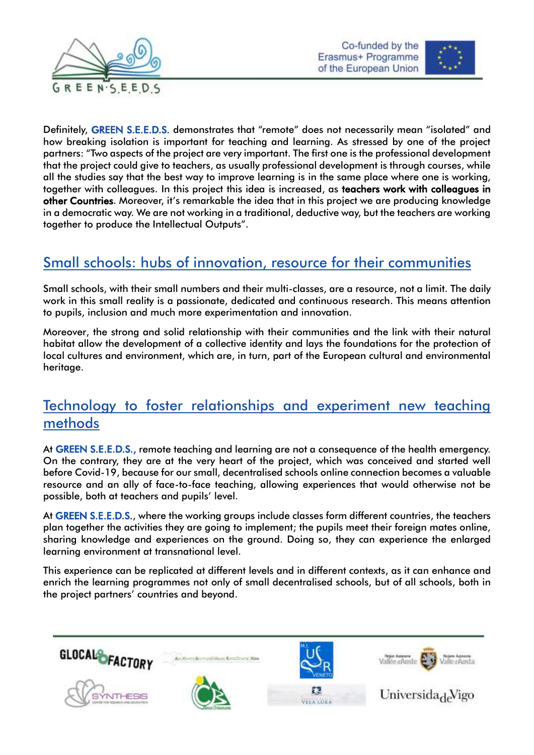



Definitely, GREEN S.E.E.D.S. demonstrates that "remote" does not necessarily mean "isolated" and how breaking isolation is important for teaching and learning. As stressed by one of the project partners: "Two aspects of the project are very important. The first one is the professional development that the project could give to teachers, as usually professional development is through courses, while all the studies say that the best way to improve learning is in the same place where one is working, together with colleagues. In this project this idea is increased, as teachers work with colleagues in other Countries. Moreover, it's remarkable the idea that in this project we are producing knowledge in a democratic way. We are not working in a traditional, deductive way, but the teachers are working together to produce the Intellectual Outputs".

#### Small schools: hubs of innovation, resource for their communities

Small schools, with their small numbers and their multi-classes, are a resource, not a limit. The daily work in this small reality is a passionate, dedicated and continuous research. This means attention to pupils, inclusion and much more experimentation and innovation.

Moreover, the strong and solid relationship with their communities and the link with their natural habitat allow the development of a collective identity and lays the foundations for the protection of local cultures and environment, which are, in turn, part of the European cultural and environmental heritage.

#### Technology to foster relationships and experiment new teaching methods

At GREEN S.E.E.D.S., remote teaching and learning are not a consequence of the health emergency. On the contrary, they are at the very heart of the project, which was conceived and started well before Covid-19, because for our small, decentralised schools online connection becomes a valuable resource and an ally of face-to-face teaching, allowing experiences that would otherwise not be possible, both at teachers and pupils' level.

At GREEN S.E.E.D.S., where the working groups include classes form different countries, the teachers plan together the activities they are going to implement; the pupils meet their foreign mates online, sharing knowledge and experiences on the ground. Doing so, they can experience the enlarged learning environment at transnational level.

This experience can be replicated at different levels and in different contexts, as it can enhance and enrich the learning programmes not only of small decentralised schools, but of all schools, both in the project partners' countries and beyond.